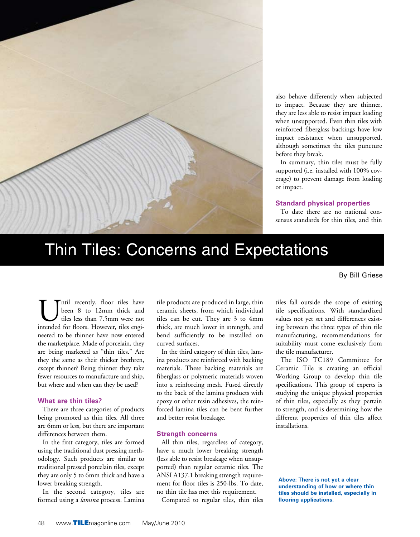

also behave differently when subjected to impact. Because they are thinner, they are less able to resist impact loading when unsupported. Even thin tiles with reinforced fiberglass backings have low impact resistance when unsupported, although sometimes the tiles puncture before they break.

In summary, thin tiles must be fully supported (i.e. installed with 100% coverage) to prevent damage from loading or impact.

#### **Standard physical properties**

To date there are no national consensus standards for thin tiles, and thin

# Thin Tiles: Concerns and Expectations

By Bill Griese

ntil recently, floor tiles have been 8 to 12mm thick and tiles less than 7.5mm were not intended for floors. However, tiles engineered to be thinner have now entered the marketplace. Made of porcelain, they are being marketed as "thin tiles." Are they the same as their thicker brethren, except thinner? Being thinner they take fewer resources to manufacture and ship, but where and when can they be used?

#### **What are thin tiles?**

There are three categories of products being promoted as thin tiles. All three are 6mm or less, but there are important differences between them.

In the first category, tiles are formed using the traditional dust pressing methodology. Such products are similar to traditional pressed porcelain tiles, except they are only 5 to 6mm thick and have a lower breaking strength.

In the second category, tiles are formed using a *lamina* process. Lamina tile products are produced in large, thin ceramic sheets, from which individual tiles can be cut. They are 3 to 4mm thick, are much lower in strength, and bend sufficiently to be installed on curved surfaces.

In the third category of thin tiles, lamina products are reinforced with backing materials. These backing materials are fiberglass or polymeric materials woven into a reinforcing mesh. Fused directly to the back of the lamina products with epoxy or other resin adhesives, the reinforced lamina tiles can be bent further and better resist breakage.

### **Strength concerns**

All thin tiles, regardless of category, have a much lower breaking strength (less able to resist breakage when unsupported) than regular ceramic tiles. The ANSI A137.1 breaking strength requirement for floor tiles is 250-lbs. To date, no thin tile has met this requirement.

Compared to regular tiles, thin tiles

tiles fall outside the scope of existing tile specifications. With standardized values not yet set and differences existing between the three types of thin tile manufacturing, recommendations for suitability must come exclusively from the tile manufacturer.

The ISO TC189 Committee for Ceramic Tile is creating an official Working Group to develop thin tile specifications. This group of experts is studying the unique physical properties of thin tiles, especially as they pertain to strength, and is determining how the different properties of thin tiles affect installations.

**Above: There is not yet a clear understanding of how or where thin tiles should be installed, especially in flooring applications.**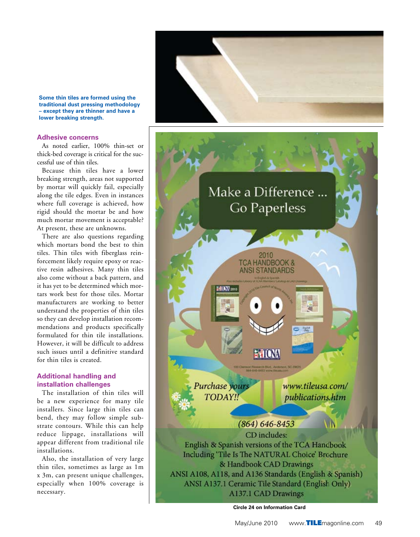

**Some thin tiles are formed using the traditional dust pressing methodology – except they are thinner and have a lower breaking strength.**

#### **Adhesive concerns**

As noted earlier, 100% thin-set or thick-bed coverage is critical for the suc cessful use of thin tiles.

Because thin tiles have a lower breaking strength, areas not supported by mortar will quickly fail, especially along the tile edges. Even in instances where full coverage is achieved, how rigid should the mortar be and how much mortar movement is acceptable? At present, these are unknowns.

There are also questions regarding which mortars bond the best to thin tiles. Thin tiles with fiberglass rein forcement likely require epoxy or reac tive resin adhesives. Many thin tiles also come without a back pattern, and it has yet to be determined which mor tars work best for those tiles. Mortar manufacturers are working to better understand the properties of thin tiles so they can develop installation recom mendations and products specifically formulated for thin tile installations. However, it will be difficult to address such issues until a definitive standard for thin tiles is created.

## **Additional handling and installation challenges**

The installation of thin tiles will be a new experience for many tile installers. Since large thin tiles can bend, they may follow simple sub strate contours. While this can help reduce lippage, installations will appear different from traditional tile installations.

Also, the installation of very large thin tiles, sometimes as large as 1m x 3m, can present unique challenges, especially when 100% coverage is necessary.



**Circle 24 on Information Card**